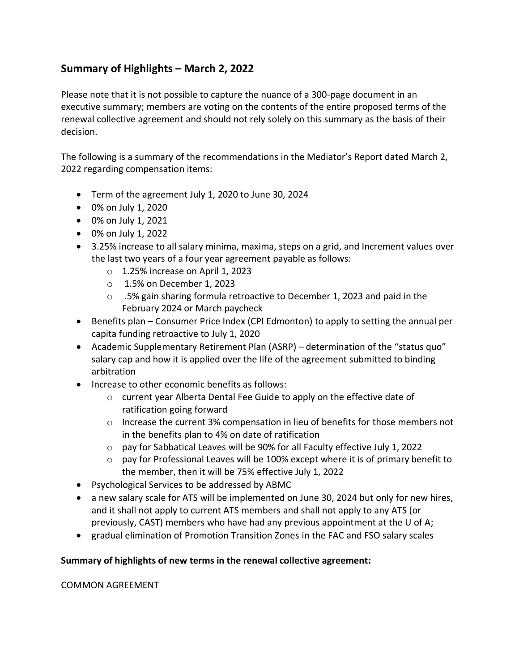## **Summary of Highlights – March 2, 2022**

Please note that it is not possible to capture the nuance of a 300-page document in an executive summary; members are voting on the contents of the entire proposed terms of the renewal collective agreement and should not rely solely on this summary as the basis of their decision.

The following is a summary of the recommendations in the Mediator's Report dated March 2, 2022 regarding compensation items:

- Term of the agreement July 1, 2020 to June 30, 2024
- 0% on July 1, 2020
- 0% on July 1, 2021
- 0% on July 1, 2022
- 3.25% increase to all salary minima, maxima, steps on a grid, and Increment values over the last two years of a four year agreement payable as follows:
	- $\circ$  1.25% increase on April 1, 2023
	- o 1.5% on December 1, 2023
	- $\circ$  .5% gain sharing formula retroactive to December 1, 2023 and paid in the February 2024 or March paycheck
- Benefits plan Consumer Price Index (CPI Edmonton) to apply to setting the annual per capita funding retroactive to July 1, 2020
- Academic Supplementary Retirement Plan (ASRP) determination of the "status quo" salary cap and how it is applied over the life of the agreement submitted to binding arbitration
- Increase to other economic benefits as follows:
	- o current year Alberta Dental Fee Guide to apply on the effective date of ratification going forward
	- $\circ$  Increase the current 3% compensation in lieu of benefits for those members not in the benefits plan to 4% on date of ratification
	- o pay for Sabbatical Leaves will be 90% for all Faculty effective July 1, 2022
	- $\circ$  pay for Professional Leaves will be 100% except where it is of primary benefit to the member, then it will be 75% effective July 1, 2022
- Psychological Services to be addressed by ABMC
- a new salary scale for ATS will be implemented on June 30, 2024 but only for new hires, and it shall not apply to current ATS members and shall not apply to any ATS (or previously, CAST) members who have had any previous appointment at the U of A;
- gradual elimination of Promotion Transition Zones in the FAC and FSO salary scales

## **Summary of highlights of new terms in the renewal collective agreement:**

## COMMON AGREEMENT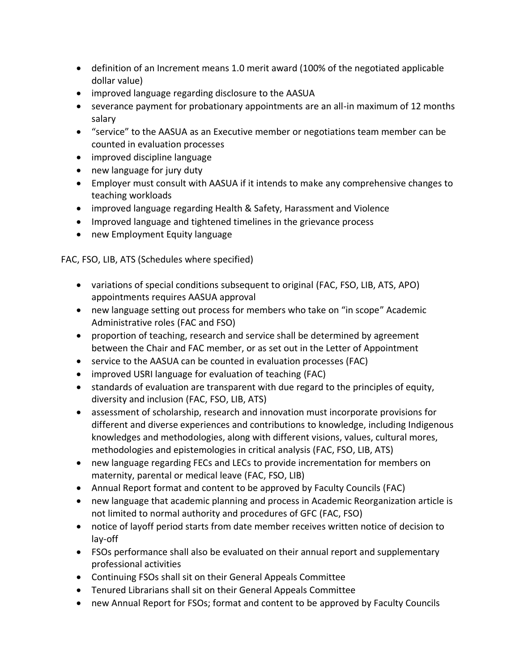- definition of an Increment means 1.0 merit award (100% of the negotiated applicable dollar value)
- improved language regarding disclosure to the AASUA
- severance payment for probationary appointments are an all-in maximum of 12 months salary
- "service" to the AASUA as an Executive member or negotiations team member can be counted in evaluation processes
- improved discipline language
- new language for jury duty
- Employer must consult with AASUA if it intends to make any comprehensive changes to teaching workloads
- improved language regarding Health & Safety, Harassment and Violence
- Improved language and tightened timelines in the grievance process
- new Employment Equity language

FAC, FSO, LIB, ATS (Schedules where specified)

- variations of special conditions subsequent to original (FAC, FSO, LIB, ATS, APO) appointments requires AASUA approval
- new language setting out process for members who take on "in scope" Academic Administrative roles (FAC and FSO)
- proportion of teaching, research and service shall be determined by agreement between the Chair and FAC member, or as set out in the Letter of Appointment
- service to the AASUA can be counted in evaluation processes (FAC)
- improved USRI language for evaluation of teaching (FAC)
- standards of evaluation are transparent with due regard to the principles of equity, diversity and inclusion (FAC, FSO, LIB, ATS)
- assessment of scholarship, research and innovation must incorporate provisions for different and diverse experiences and contributions to knowledge, including Indigenous knowledges and methodologies, along with different visions, values, cultural mores, methodologies and epistemologies in critical analysis (FAC, FSO, LIB, ATS)
- new language regarding FECs and LECs to provide incrementation for members on maternity, parental or medical leave (FAC, FSO, LIB)
- Annual Report format and content to be approved by Faculty Councils (FAC)
- new language that academic planning and process in Academic Reorganization article is not limited to normal authority and procedures of GFC (FAC, FSO)
- notice of layoff period starts from date member receives written notice of decision to lay-off
- FSOs performance shall also be evaluated on their annual report and supplementary professional activities
- Continuing FSOs shall sit on their General Appeals Committee
- Tenured Librarians shall sit on their General Appeals Committee
- new Annual Report for FSOs; format and content to be approved by Faculty Councils